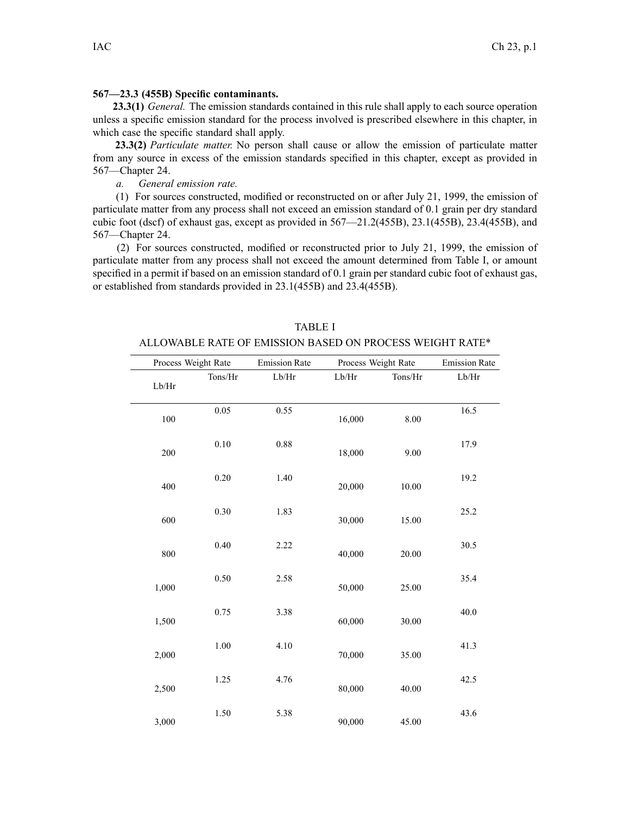## **567—23.3 (455B) Specific contaminants.**

**23.3(1)** *General.* The emission standards contained in this rule shall apply to each source operation unless <sup>a</sup> specific emission standard for the process involved is prescribed elsewhere in this chapter, in which case the specific standard shall apply.

**23.3(2)** *Particulate matter.* No person shall cause or allow the emission of particulate matter from any source in excess of the emission standards specified in this chapter, excep<sup>t</sup> as provided in 567—Chapter 24.

*a. General emission rate.*

(1) For sources constructed, modified or reconstructed on or after July 21, 1999, the emission of particulate matter from any process shall not exceed an emission standard of 0.1 grain per dry standard cubic foot (dscf) of exhaust gas, excep<sup>t</sup> as provided in 567—21.2(455B), 23.1(455B), 23.4(455B), and 567—Chapter 24.

(2) For sources constructed, modified or reconstructed prior to July 21, 1999, the emission of particulate matter from any process shall not exceed the amount determined from Table I, or amount specified in <sup>a</sup> permit if based on an emission standard of 0.1 grain per standard cubic foot of exhaust gas, or established from standards provided in 23.1(455B) and 23.4(455B).

| Process Weight Rate                   |          | <b>Emission Rate</b> | Process Weight Rate |         | <b>Emission Rate</b> |
|---------------------------------------|----------|----------------------|---------------------|---------|----------------------|
| $\operatorname{Lb}/\operatorname{Hr}$ | Tons/Hr  | $\rm Lb/Hr$          | Lb/Hr               | Tons/Hr | Lb/Hr                |
| $100\,$                               | 0.05     | 0.55                 | 16,000              | 8.00    | 16.5                 |
| 200                                   | 0.10     | $0.88\,$             | 18,000              | 9.00    | 17.9                 |
| 400                                   | $0.20\,$ | 1.40                 | 20,000              | 10.00   | 19.2                 |
| 600                                   | 0.30     | 1.83                 | 30,000              | 15.00   | 25.2                 |
| 800                                   | 0.40     | 2.22                 | 40,000              | 20.00   | 30.5                 |
| 1,000                                 | 0.50     | 2.58                 | 50,000              | 25.00   | 35.4                 |
| 1,500                                 | 0.75     | 3.38                 | 60,000              | 30.00   | 40.0                 |
| 2,000                                 | $1.00\,$ | 4.10                 | 70,000              | 35.00   | 41.3                 |
| 2,500                                 | 1.25     | 4.76                 | 80,000              | 40.00   | 42.5                 |
| 3,000                                 | 1.50     | 5.38                 | 90,000              | 45.00   | 43.6                 |

TABLE I ALLOWABLE RATE OF EMISSION BASED ON PROCESS WEIGHT RATE\*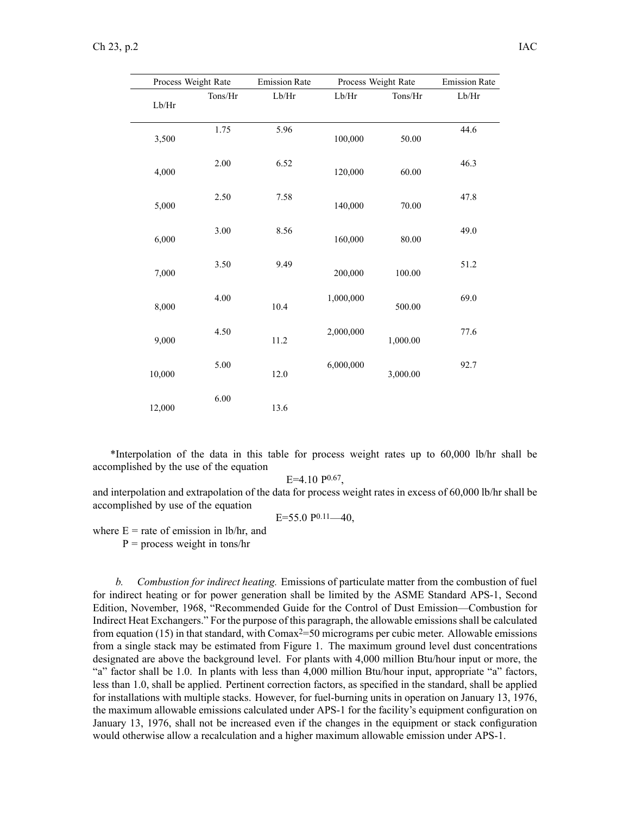| Process Weight Rate |         | <b>Emission Rate</b> | Process Weight Rate |          | <b>Emission Rate</b> |
|---------------------|---------|----------------------|---------------------|----------|----------------------|
| Lb/Hr               | Tons/Hr | $\rm Lb/Hr$          | Lb/Hr               | Tons/Hr  | Lb/Hr                |
| 3,500               | 1.75    | 5.96                 | 100,000             | 50.00    | 44.6                 |
| 4,000               | 2.00    | 6.52                 | 120,000             | 60.00    | 46.3                 |
| 5,000               | 2.50    | 7.58                 | 140,000             | 70.00    | 47.8                 |
| 6,000               | 3.00    | 8.56                 | 160,000             | 80.00    | 49.0                 |
| 7,000               | 3.50    | 9.49                 | 200,000             | 100.00   | 51.2                 |
| 8,000               | 4.00    | 10.4                 | 1,000,000           | 500.00   | 69.0                 |
| 9,000               | 4.50    | 11.2                 | 2,000,000           | 1,000.00 | 77.6                 |
| 10,000              | 5.00    | 12.0                 | 6,000,000           | 3,000.00 | 92.7                 |
| 12,000              | 6.00    | 13.6                 |                     |          |                      |

\*Interpolation of the data in this table for process weight rates up to 60,000 lb/hr shall be accomplished by the use of the equation

 $E=4.10 P^{0.67}$ 

and interpolation and extrapolation of the data for process weight rates in excess of 60,000 lb/hr shall be accomplished by use of the equation

$$
E=55.0 P^{0.11}
$$
—40,

where  $E =$  rate of emission in lb/hr, and

 $P =$  process weight in tons/hr

*b. Combustion for indirect heating.* Emissions of particulate matter from the combustion of fuel for indirect heating or for power generation shall be limited by the ASME Standard APS-1, Second Edition, November, 1968, "Recommended Guide for the Control of Dust Emission—Combustion for Indirect Heat Exchangers." For the purpose of this paragraph, the allowable emissionsshall be calculated from equation (15) in that standard, with Comax<sup>2=50</sup> micrograms per cubic meter. Allowable emissions from <sup>a</sup> single stack may be estimated from Figure 1. The maximum ground level dust concentrations designated are above the background level. For plants with 4,000 million Btu/hour input or more, the "a" factor shall be 1.0. In plants with less than 4,000 million Btu/hour input, appropriate "a" factors, less than 1.0, shall be applied. Pertinent correction factors, as specified in the standard, shall be applied for installations with multiple stacks. However, for fuel-burning units in operation on January 13, 1976, the maximum allowable emissions calculated under APS-1 for the facility's equipment configuration on January 13, 1976, shall not be increased even if the changes in the equipment or stack configuration would otherwise allow <sup>a</sup> recalculation and <sup>a</sup> higher maximum allowable emission under APS-1.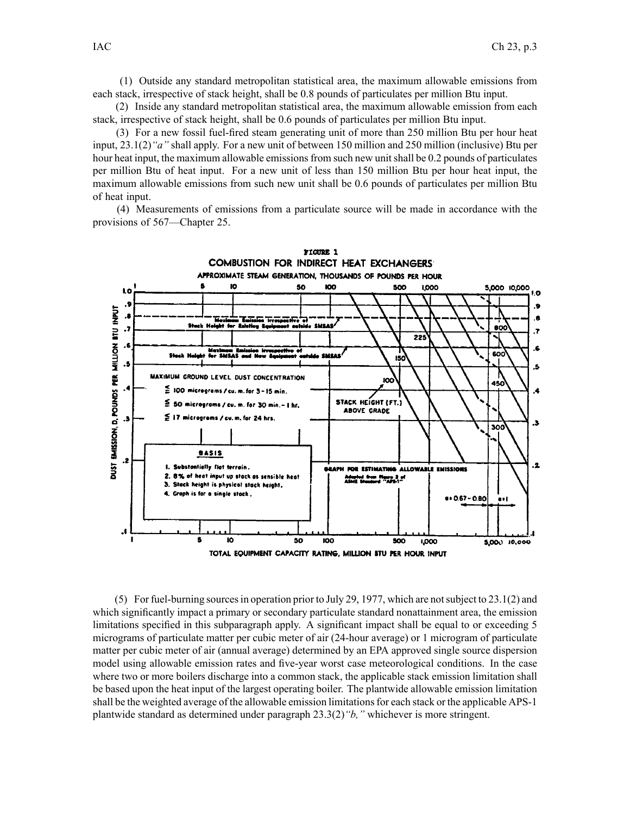(1) Outside any standard metropolitan statistical area, the maximum allowable emissions from each stack, irrespective of stack height, shall be 0.8 pounds of particulates per million Btu input.

(2) Inside any standard metropolitan statistical area, the maximum allowable emission from each stack, irrespective of stack height, shall be 0.6 pounds of particulates per million Btu input.

(3) For <sup>a</sup> new fossil fuel-fired steam generating unit of more than 250 million Btu per hour heat input, 23.1(2)*"a"* shall apply. For <sup>a</sup> new unit of between 150 million and 250 million (inclusive) Btu per hour heat input, the maximum allowable emissions from such new unit shall be 0.2 pounds of particulates per million Btu of heat input. For <sup>a</sup> new unit of less than 150 million Btu per hour heat input, the maximum allowable emissions from such new unit shall be 0.6 pounds of particulates per million Btu of heat input.

(4) Measurements of emissions from <sup>a</sup> particulate source will be made in accordance with the provisions of 567—Chapter 25.



TOTAL EQUIPMENT CAPACITY RATING, MILLION BTU PER HOUR INPUT

(5) For fuel-burning sourcesin operation prior to July 29, 1977, which are notsubject to 23.1(2) and which significantly impact <sup>a</sup> primary or secondary particulate standard nonattainment area, the emission limitations specified in this subparagraph apply. A significant impact shall be equal to or exceeding 5 micrograms of particulate matter per cubic meter of air (24-hour average) or 1 microgram of particulate matter per cubic meter of air (annual average) determined by an EPA approved single source dispersion model using allowable emission rates and five-year worst case meteorological conditions. In the case where two or more boilers discharge into <sup>a</sup> common stack, the applicable stack emission limitation shall be based upon the heat input of the largest operating boiler. The plantwide allowable emission limitation shall be the weighted average of the allowable emission limitations for each stack or the applicable APS-1 plantwide standard as determined under paragraph 23.3(2)*"b,"* whichever is more stringent.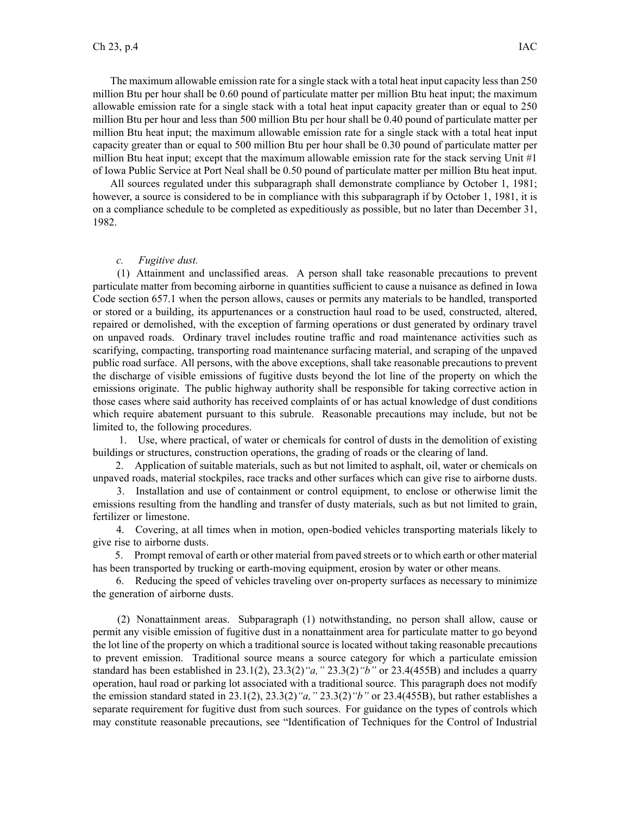The maximum allowable emission rate for a single stack with a total heat input capacity less than 250 million Btu per hour shall be 0.60 pound of particulate matter per million Btu heat input; the maximum allowable emission rate for <sup>a</sup> single stack with <sup>a</sup> total heat input capacity greater than or equal to 250 million Btu per hour and less than 500 million Btu per hour shall be 0.40 pound of particulate matter per million Btu heat input; the maximum allowable emission rate for <sup>a</sup> single stack with <sup>a</sup> total heat input capacity greater than or equal to 500 million Btu per hour shall be 0.30 pound of particulate matter per million Btu heat input; excep<sup>t</sup> that the maximum allowable emission rate for the stack serving Unit #1 of Iowa Public Service at Port Neal shall be 0.50 pound of particulate matter per million Btu heat input.

All sources regulated under this subparagraph shall demonstrate compliance by October 1, 1981; however, <sup>a</sup> source is considered to be in compliance with this subparagraph if by October 1, 1981, it is on <sup>a</sup> compliance schedule to be completed as expeditiously as possible, but no later than December 31, 1982.

## *c. Fugitive dust.*

(1) Attainment and unclassified areas. A person shall take reasonable precautions to preven<sup>t</sup> particulate matter from becoming airborne in quantities sufficient to cause <sup>a</sup> nuisance as defined in Iowa Code section 657.1 when the person allows, causes or permits any materials to be handled, transported or stored or <sup>a</sup> building, its appurtenances or <sup>a</sup> construction haul road to be used, constructed, altered, repaired or demolished, with the exception of farming operations or dust generated by ordinary travel on unpaved roads. Ordinary travel includes routine traffic and road maintenance activities such as scarifying, compacting, transporting road maintenance surfacing material, and scraping of the unpaved public road surface. All persons, with the above exceptions, shall take reasonable precautions to preven<sup>t</sup> the discharge of visible emissions of fugitive dusts beyond the lot line of the property on which the emissions originate. The public highway authority shall be responsible for taking corrective action in those cases where said authority has received complaints of or has actual knowledge of dust conditions which require abatement pursuan<sup>t</sup> to this subrule. Reasonable precautions may include, but not be limited to, the following procedures.

1. Use, where practical, of water or chemicals for control of dusts in the demolition of existing buildings or structures, construction operations, the grading of roads or the clearing of land.

2. Application of suitable materials, such as but not limited to asphalt, oil, water or chemicals on unpaved roads, material stockpiles, race tracks and other surfaces which can give rise to airborne dusts.

3. Installation and use of containment or control equipment, to enclose or otherwise limit the emissions resulting from the handling and transfer of dusty materials, such as but not limited to grain, fertilizer or limestone.

4. Covering, at all times when in motion, open-bodied vehicles transporting materials likely to give rise to airborne dusts.

5. Prompt removal of earth or other material from paved streets or to which earth or other material has been transported by trucking or earth-moving equipment, erosion by water or other means.

6. Reducing the speed of vehicles traveling over on-property surfaces as necessary to minimize the generation of airborne dusts.

(2) Nonattainment areas. Subparagraph (1) notwithstanding, no person shall allow, cause or permit any visible emission of fugitive dust in <sup>a</sup> nonattainment area for particulate matter to go beyond the lot line of the property on which <sup>a</sup> traditional source is located without taking reasonable precautions to preven<sup>t</sup> emission. Traditional source means <sup>a</sup> source category for which <sup>a</sup> particulate emission standard has been established in 23.1(2), 23.3(2)*"a,"* 23.3(2)*"b"* or 23.4(455B) and includes <sup>a</sup> quarry operation, haul road or parking lot associated with <sup>a</sup> traditional source. This paragraph does not modify the emission standard stated in 23.1(2), 23.3(2)*"a,"* 23.3(2)*"b"* or 23.4(455B), but rather establishes <sup>a</sup> separate requirement for fugitive dust from such sources. For guidance on the types of controls which may constitute reasonable precautions, see "Identification of Techniques for the Control of Industrial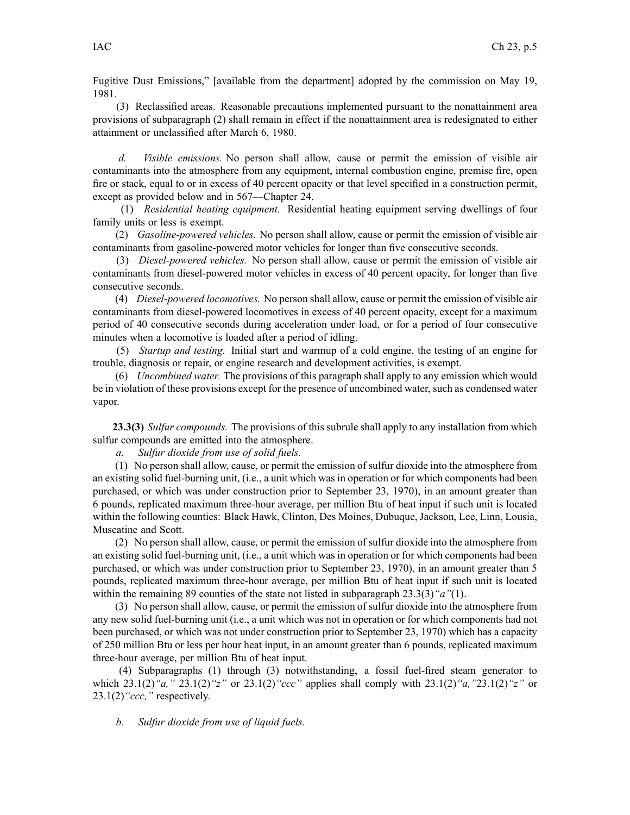Fugitive Dust Emissions," [available from the department] adopted by the commission on May 19, 1981.

(3) Reclassified areas. Reasonable precautions implemented pursuan<sup>t</sup> to the nonattainment area provisions of subparagraph (2) shall remain in effect if the nonattainment area is redesignated to either attainment or unclassified after March 6, 1980.

*d. Visible emissions.* No person shall allow, cause or permit the emission of visible air contaminants into the atmosphere from any equipment, internal combustion engine, premise fire, open fire or stack, equal to or in excess of 40 percen<sup>t</sup> opacity or that level specified in <sup>a</sup> construction permit, excep<sup>t</sup> as provided below and in 567—Chapter 24.

(1) *Residential heating equipment.* Residential heating equipment serving dwellings of four family units or less is exempt.

(2) *Gasoline-powered vehicles.* No person shall allow, cause or permit the emission of visible air contaminants from gasoline-powered motor vehicles for longer than five consecutive seconds.

(3) *Diesel-powered vehicles.* No person shall allow, cause or permit the emission of visible air contaminants from diesel-powered motor vehicles in excess of 40 percen<sup>t</sup> opacity, for longer than five consecutive seconds.

(4) *Diesel-powered locomotives.* No person shall allow, cause or permit the emission of visible air contaminants from diesel-powered locomotives in excess of 40 percen<sup>t</sup> opacity, excep<sup>t</sup> for <sup>a</sup> maximum period of 40 consecutive seconds during acceleration under load, or for <sup>a</sup> period of four consecutive minutes when <sup>a</sup> locomotive is loaded after <sup>a</sup> period of idling.

(5) *Startup and testing.* Initial start and warmup of <sup>a</sup> cold engine, the testing of an engine for trouble, diagnosis or repair, or engine research and development activities, is exempt.

(6) *Uncombined water.* The provisions of this paragraph shall apply to any emission which would be in violation of these provisions excep<sup>t</sup> for the presence of uncombined water, such as condensed water vapor.

**23.3(3)** *Sulfur compounds.* The provisions of this subrule shall apply to any installation from which sulfur compounds are emitted into the atmosphere.

*a. Sulfur dioxide from use of solid fuels.*

(1) No person shall allow, cause, or permit the emission of sulfur dioxide into the atmosphere from an existing solid fuel-burning unit, (i.e., <sup>a</sup> unit which was in operation or for which components had been purchased, or which was under construction prior to September 23, 1970), in an amount greater than 6 pounds, replicated maximum three-hour average, per million Btu of heat input if such unit is located within the following counties: Black Hawk, Clinton, Des Moines, Dubuque, Jackson, Lee, Linn, Lousia, Muscatine and Scott.

(2) No person shall allow, cause, or permit the emission of sulfur dioxide into the atmosphere from an existing solid fuel-burning unit, (i.e., <sup>a</sup> unit which was in operation or for which components had been purchased, or which was under construction prior to September 23, 1970), in an amount greater than 5 pounds, replicated maximum three-hour average, per million Btu of heat input if such unit is located within the remaining 89 counties of the state not listed in subparagraph 23.3(3)*"a"*(1).

(3) No person shall allow, cause, or permit the emission of sulfur dioxide into the atmosphere from any new solid fuel-burning unit (i.e., <sup>a</sup> unit which was not in operation or for which components had not been purchased, or which was not under construction prior to September 23, 1970) which has <sup>a</sup> capacity of 250 million Btu or less per hour heat input, in an amount greater than 6 pounds, replicated maximum three-hour average, per million Btu of heat input.

(4) Subparagraphs (1) through (3) notwithstanding, <sup>a</sup> fossil fuel-fired steam generator to which 23.1(2)*"a,"* 23.1(2)*"z"* or 23.1(2)*"ccc"* applies shall comply with 23.1(2)*"a,"*23.1(2)*"z"* or 23.1(2)*"ccc,"* respectively.

*b. Sulfur dioxide from use of liquid fuels.*